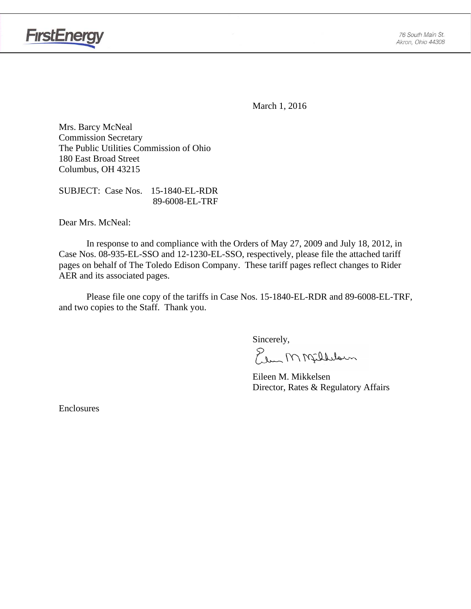



March 1, 2016

Mrs. Barcy McNeal Commission Secretary The Public Utilities Commission of Ohio 180 East Broad Street Columbus, OH 43215

SUBJECT: Case Nos. 15-1840-EL-RDR 89-6008-EL-TRF

Dear Mrs. McNeal:

 In response to and compliance with the Orders of May 27, 2009 and July 18, 2012, in Case Nos. 08-935-EL-SSO and 12-1230-EL-SSO, respectively, please file the attached tariff pages on behalf of The Toledo Edison Company. These tariff pages reflect changes to Rider AER and its associated pages.

Please file one copy of the tariffs in Case Nos. 15-1840-EL-RDR and 89-6008-EL-TRF, and two copies to the Staff. Thank you.

Sincerely,

Elem M Milleloun

 Eileen M. Mikkelsen Director, Rates & Regulatory Affairs

Enclosures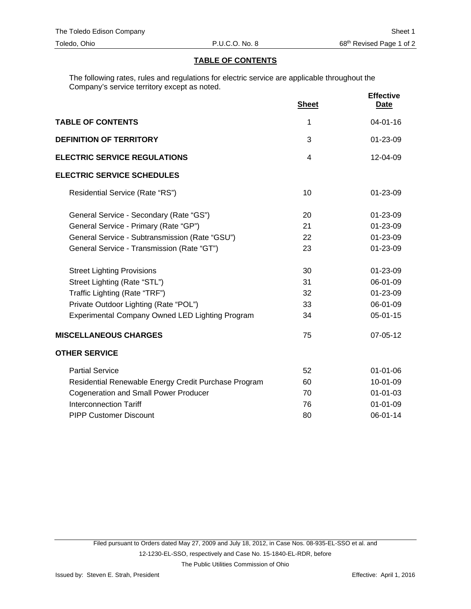#### **TABLE OF CONTENTS**

The following rates, rules and regulations for electric service are applicable throughout the Company's service territory except as noted.

|                                                      | <b>Sheet</b> | <b>Effective</b><br><b>Date</b> |
|------------------------------------------------------|--------------|---------------------------------|
| <b>TABLE OF CONTENTS</b>                             | 1            | $04 - 01 - 16$                  |
| <b>DEFINITION OF TERRITORY</b>                       | 3            | 01-23-09                        |
| <b>ELECTRIC SERVICE REGULATIONS</b>                  | 4            | 12-04-09                        |
| <b>ELECTRIC SERVICE SCHEDULES</b>                    |              |                                 |
| Residential Service (Rate "RS")                      | 10           | 01-23-09                        |
| General Service - Secondary (Rate "GS")              | 20           | 01-23-09                        |
| General Service - Primary (Rate "GP")                | 21           | 01-23-09                        |
| General Service - Subtransmission (Rate "GSU")       | 22           | 01-23-09                        |
| General Service - Transmission (Rate "GT")           | 23           | 01-23-09                        |
| <b>Street Lighting Provisions</b>                    | 30           | 01-23-09                        |
| Street Lighting (Rate "STL")                         | 31           | 06-01-09                        |
| Traffic Lighting (Rate "TRF")                        | 32           | 01-23-09                        |
| Private Outdoor Lighting (Rate "POL")                | 33           | 06-01-09                        |
| Experimental Company Owned LED Lighting Program      | 34           | 05-01-15                        |
| <b>MISCELLANEOUS CHARGES</b>                         | 75           | 07-05-12                        |
| <b>OTHER SERVICE</b>                                 |              |                                 |
| <b>Partial Service</b>                               | 52           | $01 - 01 - 06$                  |
| Residential Renewable Energy Credit Purchase Program | 60           | 10-01-09                        |
| <b>Cogeneration and Small Power Producer</b>         | 70           | $01 - 01 - 03$                  |
| <b>Interconnection Tariff</b>                        | 76           | $01 - 01 - 09$                  |
| <b>PIPP Customer Discount</b>                        | 80           | 06-01-14                        |
|                                                      |              |                                 |

Filed pursuant to Orders dated May 27, 2009 and July 18, 2012, in Case Nos. 08-935-EL-SSO et al. and 12-1230-EL-SSO, respectively and Case No. 15-1840-EL-RDR, before

The Public Utilities Commission of Ohio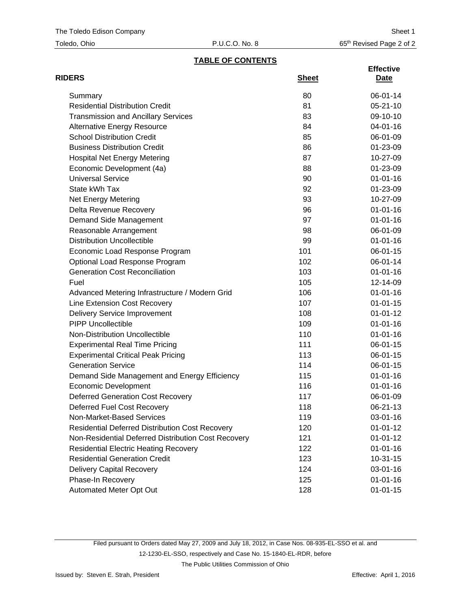| Toledo, Ohio |  |
|--------------|--|
|--------------|--|

# **TABLE OF CONTENTS**

| <b>RIDERS</b>                                          | <b>Sheet</b> | <b>Effective</b><br><u>Date</u> |
|--------------------------------------------------------|--------------|---------------------------------|
| Summary                                                | 80           | 06-01-14                        |
| <b>Residential Distribution Credit</b>                 | 81           | $05 - 21 - 10$                  |
| <b>Transmission and Ancillary Services</b>             | 83           | 09-10-10                        |
| <b>Alternative Energy Resource</b>                     | 84           | 04-01-16                        |
| <b>School Distribution Credit</b>                      | 85           | 06-01-09                        |
| <b>Business Distribution Credit</b>                    | 86           | 01-23-09                        |
| <b>Hospital Net Energy Metering</b>                    | 87           | 10-27-09                        |
| Economic Development (4a)                              | 88           | 01-23-09                        |
| <b>Universal Service</b>                               | 90           | $01 - 01 - 16$                  |
| State kWh Tax                                          | 92           | 01-23-09                        |
| Net Energy Metering                                    | 93           | 10-27-09                        |
| Delta Revenue Recovery                                 | 96           | $01 - 01 - 16$                  |
| Demand Side Management                                 | 97           | $01 - 01 - 16$                  |
| Reasonable Arrangement                                 | 98           | 06-01-09                        |
| <b>Distribution Uncollectible</b>                      | 99           | $01 - 01 - 16$                  |
| Economic Load Response Program                         | 101          | $06 - 01 - 15$                  |
| Optional Load Response Program                         | 102          | 06-01-14                        |
| <b>Generation Cost Reconciliation</b>                  | 103          | $01 - 01 - 16$                  |
| Fuel                                                   | 105          | 12-14-09                        |
| Advanced Metering Infrastructure / Modern Grid         | 106          | $01 - 01 - 16$                  |
| Line Extension Cost Recovery                           | 107          | $01 - 01 - 15$                  |
| <b>Delivery Service Improvement</b>                    | 108          | $01 - 01 - 12$                  |
| <b>PIPP Uncollectible</b>                              | 109          | $01 - 01 - 16$                  |
| Non-Distribution Uncollectible                         | 110          | $01 - 01 - 16$                  |
| <b>Experimental Real Time Pricing</b>                  | 111          | 06-01-15                        |
| <b>Experimental Critical Peak Pricing</b>              | 113          | 06-01-15                        |
| <b>Generation Service</b>                              | 114          | $06 - 01 - 15$                  |
| Demand Side Management and Energy Efficiency           | 115          | $01 - 01 - 16$                  |
| <b>Economic Development</b>                            | 116          | $01 - 01 - 16$                  |
| <b>Deferred Generation Cost Recovery</b>               | 117          | 06-01-09                        |
| Deferred Fuel Cost Recovery                            | 118          | 06-21-13                        |
| Non-Market-Based Services                              | 119          | $03 - 01 - 16$                  |
| <b>Residential Deferred Distribution Cost Recovery</b> | 120          | $01 - 01 - 12$                  |
| Non-Residential Deferred Distribution Cost Recovery    | 121          | $01 - 01 - 12$                  |
| <b>Residential Electric Heating Recovery</b>           | 122          | $01 - 01 - 16$                  |
| <b>Residential Generation Credit</b>                   | 123          | $10-31-15$                      |
| <b>Delivery Capital Recovery</b>                       | 124          | 03-01-16                        |
| Phase-In Recovery                                      | 125          | $01 - 01 - 16$                  |
| Automated Meter Opt Out                                | 128          | $01 - 01 - 15$                  |

The Public Utilities Commission of Ohio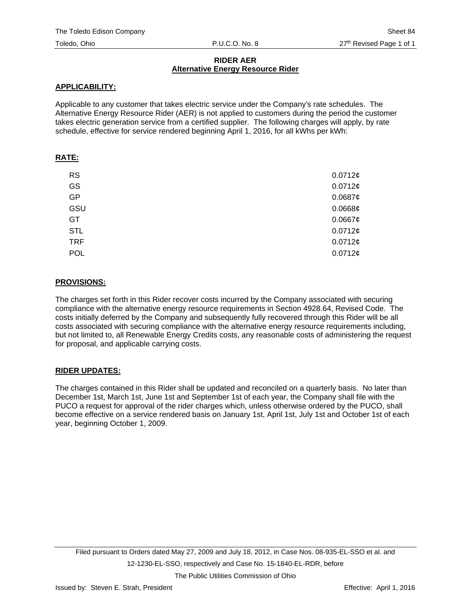#### **RIDER AER Alternative Energy Resource Rider**

## **APPLICABILITY:**

Applicable to any customer that takes electric service under the Company's rate schedules. The Alternative Energy Resource Rider (AER) is not applied to customers during the period the customer takes electric generation service from a certified supplier. The following charges will apply, by rate schedule, effective for service rendered beginning April 1, 2016, for all kWhs per kWh:

## **RATE:**

| <b>RS</b>  | 0.0712¢    |
|------------|------------|
| GS         | 0.0712¢    |
| GP         | $0.0687$ ¢ |
| GSU        | $0.0668$ ¢ |
| GT         | 0.0667c    |
| <b>STL</b> | 0.0712¢    |
| <b>TRF</b> | 0.0712¢    |
| POL        | 0.0712¢    |

### **PROVISIONS:**

The charges set forth in this Rider recover costs incurred by the Company associated with securing compliance with the alternative energy resource requirements in Section 4928.64, Revised Code. The costs initially deferred by the Company and subsequently fully recovered through this Rider will be all costs associated with securing compliance with the alternative energy resource requirements including, but not limited to, all Renewable Energy Credits costs, any reasonable costs of administering the request for proposal, and applicable carrying costs.

# **RIDER UPDATES:**

The charges contained in this Rider shall be updated and reconciled on a quarterly basis. No later than December 1st, March 1st, June 1st and September 1st of each year, the Company shall file with the PUCO a request for approval of the rider charges which, unless otherwise ordered by the PUCO, shall become effective on a service rendered basis on January 1st, April 1st, July 1st and October 1st of each year, beginning October 1, 2009.

The Public Utilities Commission of Ohio